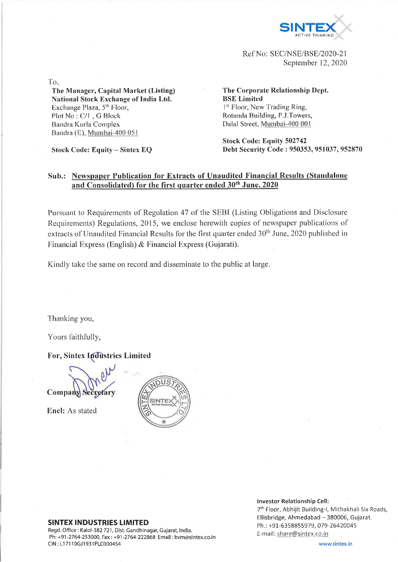

Ref No: SEC/NSE/BSE/2020-21 September 12, 2020

To,

## **The Manager, Capital Market (Listing) National Stock Exchange of India Ltd.** Exchange Plaza, 5<sup>th</sup> Floor, Plot No : C/l , G Block Bandra Karla Complex Bandra (E), Mumbai-400 051

**Stock Code: Equity - Sintex EQ**

**The Corporate Relationship Dept. BSE Limited** 1<sup>st</sup> Floor, New Trading Ring, Rotunda Building, P.J.Towers, Dalai Street, Mumbai-400 001

**Stock Code: Equity 502742 Debt Security Code : 950353, 951037, 952870**

## **Sub.: Newspaper Publication for Extracts of Unaudited Financial Results (Standalone** and Consolidated) for the first quarter ended 30<sup>th</sup> June, 2020

Pursuant to Requirements of Regulation 47 of the SEBI (Listing Obligations and Disclosure Requirements) Regulations, 2015, we enclose herewith copies of newspaper publications of extracts of Unaudited Financial Results for the first quarter ended 30<sup>th</sup> June, 2020 published in Financial Express (English) & Financial Express (Gujarati).

Kindly take the same on record and disseminate to the public at large.

Thanking you,

Yours faithfully,

**For, Sintex Industries Limited** 

Compar

Encl: As stated



## **SINTEX INDUSTRIES LIMITED**

Regd. Office : Kalol-382 721, Dist. Gandhinagar, Gujarat, India. Ph: +91-2764-253000, Fax : +91-2764-222868 Email: [bvm@sintex.co.in](mailto:bvm@sintex.co.in) CIN : LI 7110GJ1931PLC000454

**Investor Relationship Cell:**

7th Floor, Abhijit Building-I, Mithakhali Six Roads, Ellisbridge, Ahmedabad - 380006, Gujarat. Ph.: +91-6358855979, 079-26420045 E-mail: [share@sintex.co.in](mailto:share@sintex.co.in)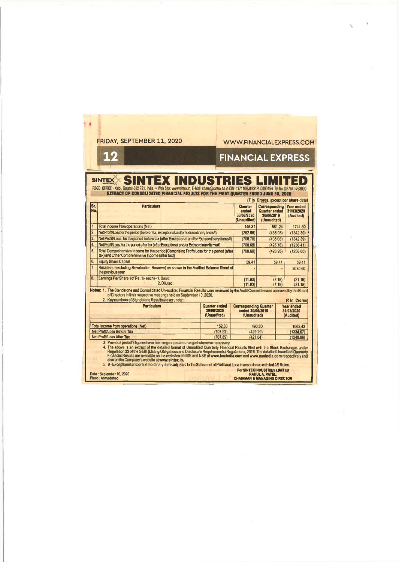|                    | FRIDAY, SEPTEMBER 11, 2020                                                                                                                                                                                                                                                                                                                                                                                                                                                                                                                                                                                                              |                                                                                          | <b>WWW.FINANCIALFXPRESS.COM</b>                                 |                                                                    |           |                                                                              |  |
|--------------------|-----------------------------------------------------------------------------------------------------------------------------------------------------------------------------------------------------------------------------------------------------------------------------------------------------------------------------------------------------------------------------------------------------------------------------------------------------------------------------------------------------------------------------------------------------------------------------------------------------------------------------------------|------------------------------------------------------------------------------------------|-----------------------------------------------------------------|--------------------------------------------------------------------|-----------|------------------------------------------------------------------------------|--|
|                    | 12                                                                                                                                                                                                                                                                                                                                                                                                                                                                                                                                                                                                                                      |                                                                                          | <b>FINANCIAL EXPRESS</b>                                        |                                                                    |           |                                                                              |  |
|                    |                                                                                                                                                                                                                                                                                                                                                                                                                                                                                                                                                                                                                                         |                                                                                          |                                                                 |                                                                    |           |                                                                              |  |
|                    | <b>SINTEX INDUSTRIES LIMITED</b><br><b>SINTEX</b><br>REGD. OFFICE:- Kalol, Gujaral-382 721, India. . Web Site: www.sintex.in, E-Mail: share@sintex.co.in CIN: L17110GJ1931PLC000454 Tel No.(02764)-253000                                                                                                                                                                                                                                                                                                                                                                                                                               |                                                                                          |                                                                 |                                                                    |           |                                                                              |  |
|                    | EXTRACT OF CONSOLIDATED FINANCIAL RESULTS FOR THE FIRST QUARTER ENDED JUNE 30, 2020                                                                                                                                                                                                                                                                                                                                                                                                                                                                                                                                                     |                                                                                          |                                                                 |                                                                    |           |                                                                              |  |
| Sr.<br>No.         | <b>Particulars</b>                                                                                                                                                                                                                                                                                                                                                                                                                                                                                                                                                                                                                      |                                                                                          | Quarter<br>ended<br>30/06/2020<br>(Unaudited)                   | <b>Corresponding</b><br>Quarter ended<br>30/06/2019<br>(Unaudited) |           | ( In Crores, except por share data)<br>Year ended<br>31/03/2020<br>(Audited) |  |
| $\overline{1}$ .   | Total income from operations (Net)                                                                                                                                                                                                                                                                                                                                                                                                                                                                                                                                                                                                      |                                                                                          | 145.31                                                          | 561.24                                                             |           | 1741.30                                                                      |  |
| $\overline{2}$     | Net Profit/Loss for the period (before Tax, Exceptional and/or Extraordinary items#)                                                                                                                                                                                                                                                                                                                                                                                                                                                                                                                                                    |                                                                                          | (282.06)                                                        | (435.03)                                                           |           | (1342.39)                                                                    |  |
| 3.                 | Net Profit/Loss for the period before tax (after Exceptional and/or Extraordinary items#)                                                                                                                                                                                                                                                                                                                                                                                                                                                                                                                                               |                                                                                          |                                                                 | (435.03)                                                           |           | (1342.39)                                                                    |  |
| $\overline{4}$     |                                                                                                                                                                                                                                                                                                                                                                                                                                                                                                                                                                                                                                         | Net Profit/Loss for the period after tax (after Exceptional and/or Extraordinary items#) |                                                                 | (708.68)<br>(426.78)                                               |           | (1256.41)                                                                    |  |
| 5.                 | Total Comprehensive Income for the period [Comprising Profit/Loss for the period (after<br>tax) and Other Comprehensive Income (after tax)]                                                                                                                                                                                                                                                                                                                                                                                                                                                                                             |                                                                                          | (708.68)                                                        | (426.95)                                                           |           | (1258.60)                                                                    |  |
| 6.                 | <b>Equity Share Capital</b>                                                                                                                                                                                                                                                                                                                                                                                                                                                                                                                                                                                                             |                                                                                          | 59.41                                                           |                                                                    | 59.41     | 59.41                                                                        |  |
| 7.                 | Reserves (excluding Revaluation Reserve) as shown in the Audited Balance Sheet of<br>the previous year                                                                                                                                                                                                                                                                                                                                                                                                                                                                                                                                  |                                                                                          |                                                                 |                                                                    |           | 3080.60                                                                      |  |
| B.,                | Earnings Per Share (of Re. 1/-each) - 1. Basic:<br>2. Diluted:                                                                                                                                                                                                                                                                                                                                                                                                                                                                                                                                                                          |                                                                                          |                                                                 | (11.93)<br>(7.18)<br>(11.93)<br>(7.18)                             |           | (21.15)<br>(21.15)                                                           |  |
|                    | Notes: 1. The Standalone and Consolidated Un-audited Financial Results were reviewed by the Audit Committee and approved by the Board<br>of Directors in their respective meetings held on September 10, 2020.<br>2. Key numbers of Standalone Results are as under.                                                                                                                                                                                                                                                                                                                                                                    |                                                                                          |                                                                 |                                                                    |           | <b>R</b> In Crorast                                                          |  |
| <b>Particulars</b> |                                                                                                                                                                                                                                                                                                                                                                                                                                                                                                                                                                                                                                         | Quarter ended<br>30/06/2020<br>(Unaudited)                                               | <b>Corresponding Quarter</b><br>ended 30/06/2019<br>(Unaudited) |                                                                    |           | Year ended<br>31/03/2020<br>(Audited)                                        |  |
|                    | Total income from operations (Net)                                                                                                                                                                                                                                                                                                                                                                                                                                                                                                                                                                                                      | 152.60                                                                                   |                                                                 |                                                                    |           | 1662.43                                                                      |  |
|                    | Net Profit/Loss Before Tax                                                                                                                                                                                                                                                                                                                                                                                                                                                                                                                                                                                                              | 490.60<br>(707.92)<br>(429.29)                                                           |                                                                 |                                                                    | (1334.67) |                                                                              |  |
|                    | Net Profit/Loss After Tax                                                                                                                                                                                                                                                                                                                                                                                                                                                                                                                                                                                                               | (707.69)                                                                                 |                                                                 | (421.04)                                                           |           | (1249.96)                                                                    |  |
|                    | 3. Previous period's figures have been regrouped/rearranged wherever necessary.<br>4. The above is an extract of the detailed format of Unaudited Quarterly Financial Results filed with the Stock Exchanges under<br>Regulation 33 of the SEBI (Listing Obligations and Disclosure Requirements) Regulations, 2015. The detailed Unaudited Quarterly<br>Financial Results are available on the websites of BSE and NSE at www.bseindla.com and www.nse<br>also on the Company's website at www.sintex.in.<br>5. #-Exceptional and/or Extraordinary items adjusted in the Statement of Profit and Loss in accordance with Ind AS Rules. |                                                                                          |                                                                 |                                                                    |           |                                                                              |  |
|                    | Date: September 10, 2020<br>Place: Ahmedabad                                                                                                                                                                                                                                                                                                                                                                                                                                                                                                                                                                                            |                                                                                          | <b>CHAIRMAN &amp; MANAGING DIRECTOR</b>                         | <b>For SINTEX INDUSTRIES LIMITED</b><br><b>RAHUL A. PATEL.</b>     |           |                                                                              |  |

Ŧ.

 $\sim$   $\alpha$ 

 $\sim$